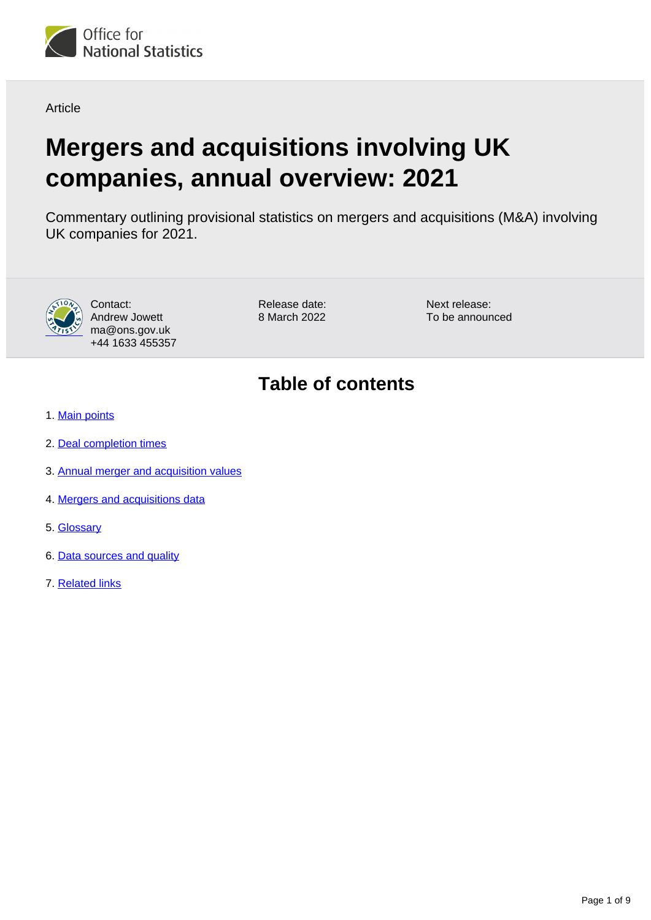

Article

# **Mergers and acquisitions involving UK companies, annual overview: 2021**

Commentary outlining provisional statistics on mergers and acquisitions (M&A) involving UK companies for 2021.



Contact: Andrew Jowett ma@ons.gov.uk +44 1633 455357

Release date: 8 March 2022 Next release: To be announced

## **Table of contents**

- 1. [Main points](#page-1-0)
- 2. [Deal completion times](#page-2-0)
- 3. [Annual merger and acquisition values](#page-4-0)
- 4. [Mergers and acquisitions data](#page-7-0)
- 5. [Glossary](#page-7-1)
- 6. [Data sources and quality](#page-7-2)
- 7. [Related links](#page-8-0)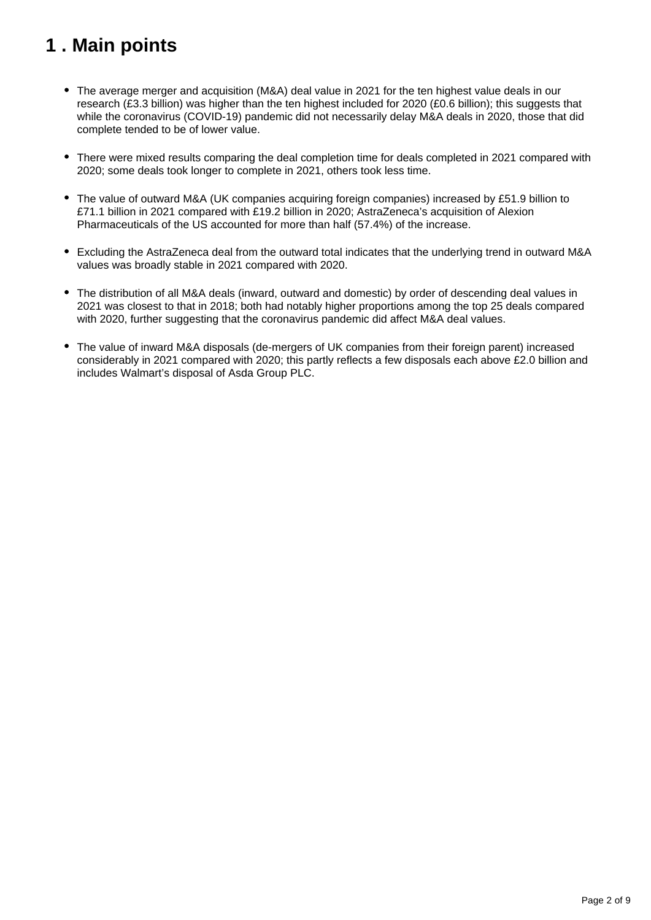## <span id="page-1-0"></span>**1 . Main points**

- The average merger and acquisition (M&A) deal value in 2021 for the ten highest value deals in our research (£3.3 billion) was higher than the ten highest included for 2020 (£0.6 billion); this suggests that while the coronavirus (COVID-19) pandemic did not necessarily delay M&A deals in 2020, those that did complete tended to be of lower value.
- There were mixed results comparing the deal completion time for deals completed in 2021 compared with 2020; some deals took longer to complete in 2021, others took less time.
- The value of outward M&A (UK companies acquiring foreign companies) increased by £51.9 billion to £71.1 billion in 2021 compared with £19.2 billion in 2020; AstraZeneca's acquisition of Alexion Pharmaceuticals of the US accounted for more than half (57.4%) of the increase.
- Excluding the AstraZeneca deal from the outward total indicates that the underlying trend in outward M&A values was broadly stable in 2021 compared with 2020.
- The distribution of all M&A deals (inward, outward and domestic) by order of descending deal values in 2021 was closest to that in 2018; both had notably higher proportions among the top 25 deals compared with 2020, further suggesting that the coronavirus pandemic did affect M&A deal values.
- The value of inward M&A disposals (de-mergers of UK companies from their foreign parent) increased considerably in 2021 compared with 2020; this partly reflects a few disposals each above £2.0 billion and includes Walmart's disposal of Asda Group PLC.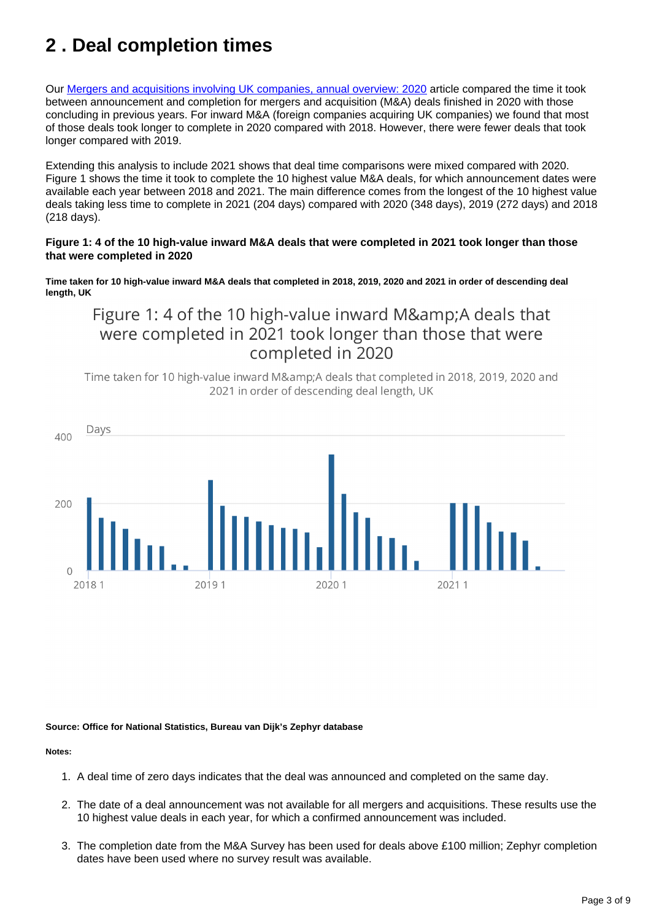## <span id="page-2-0"></span>**2 . Deal completion times**

Our [Mergers and acquisitions involving UK companies, annual overview: 2020](https://www.ons.gov.uk/businessindustryandtrade/changestobusiness/mergersandacquisitions/articles/ukmergersandacquisitionsactivityincontext/2020) article compared the time it took between announcement and completion for mergers and acquisition (M&A) deals finished in 2020 with those concluding in previous years. For inward M&A (foreign companies acquiring UK companies) we found that most of those deals took longer to complete in 2020 compared with 2018. However, there were fewer deals that took longer compared with 2019.

Extending this analysis to include 2021 shows that deal time comparisons were mixed compared with 2020. Figure 1 shows the time it took to complete the 10 highest value M&A deals, for which announcement dates were available each year between 2018 and 2021. The main difference comes from the longest of the 10 highest value deals taking less time to complete in 2021 (204 days) compared with 2020 (348 days), 2019 (272 days) and 2018 (218 days).

#### **Figure 1: 4 of the 10 high-value inward M&A deals that were completed in 2021 took longer than those that were completed in 2020**

**Time taken for 10 high-value inward M&A deals that completed in 2018, 2019, 2020 and 2021 in order of descending deal length, UK**

### Figure 1: 4 of the 10 high-value inward M& A deals that were completed in 2021 took longer than those that were completed in 2020

Time taken for 10 high-value inward M&A deals that completed in 2018, 2019, 2020 and 2021 in order of descending deal length, UK



#### **Source: Office for National Statistics, Bureau van Dijk's Zephyr database**

#### **Notes:**

- 1. A deal time of zero days indicates that the deal was announced and completed on the same day.
- 2. The date of a deal announcement was not available for all mergers and acquisitions. These results use the 10 highest value deals in each year, for which a confirmed announcement was included.
- 3. The completion date from the M&A Survey has been used for deals above £100 million; Zephyr completion dates have been used where no survey result was available.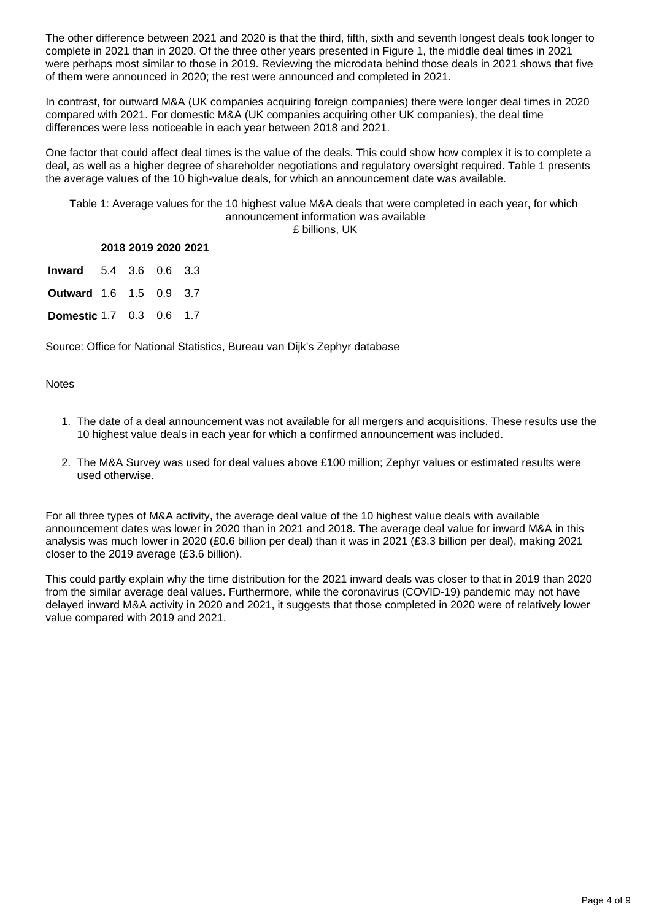The other difference between 2021 and 2020 is that the third, fifth, sixth and seventh longest deals took longer to complete in 2021 than in 2020. Of the three other years presented in Figure 1, the middle deal times in 2021 were perhaps most similar to those in 2019. Reviewing the microdata behind those deals in 2021 shows that five of them were announced in 2020; the rest were announced and completed in 2021.

In contrast, for outward M&A (UK companies acquiring foreign companies) there were longer deal times in 2020 compared with 2021. For domestic M&A (UK companies acquiring other UK companies), the deal time differences were less noticeable in each year between 2018 and 2021.

One factor that could affect deal times is the value of the deals. This could show how complex it is to complete a deal, as well as a higher degree of shareholder negotiations and regulatory oversight required. Table 1 presents the average values of the 10 high-value deals, for which an announcement date was available.

Table 1: Average values for the 10 highest value M&A deals that were completed in each year, for which announcement information was available £ billions, UK

|                                 | 2018 2019 2020 2021 |  |
|---------------------------------|---------------------|--|
| <b>Inward</b> 5.4 3.6 0.6 3.3   |                     |  |
| <b>Outward</b> 1.6 1.5 0.9 3.7  |                     |  |
| <b>Domestic 1.7 0.3 0.6 1.7</b> |                     |  |

Source: Office for National Statistics, Bureau van Dijk's Zephyr database

**Notes** 

- 1. The date of a deal announcement was not available for all mergers and acquisitions. These results use the 10 highest value deals in each year for which a confirmed announcement was included.
- 2. The M&A Survey was used for deal values above £100 million; Zephyr values or estimated results were used otherwise.

For all three types of M&A activity, the average deal value of the 10 highest value deals with available announcement dates was lower in 2020 than in 2021 and 2018. The average deal value for inward M&A in this analysis was much lower in 2020 (£0.6 billion per deal) than it was in 2021 (£3.3 billion per deal), making 2021 closer to the 2019 average (£3.6 billion).

This could partly explain why the time distribution for the 2021 inward deals was closer to that in 2019 than 2020 from the similar average deal values. Furthermore, while the coronavirus (COVID-19) pandemic may not have delayed inward M&A activity in 2020 and 2021, it suggests that those completed in 2020 were of relatively lower value compared with 2019 and 2021.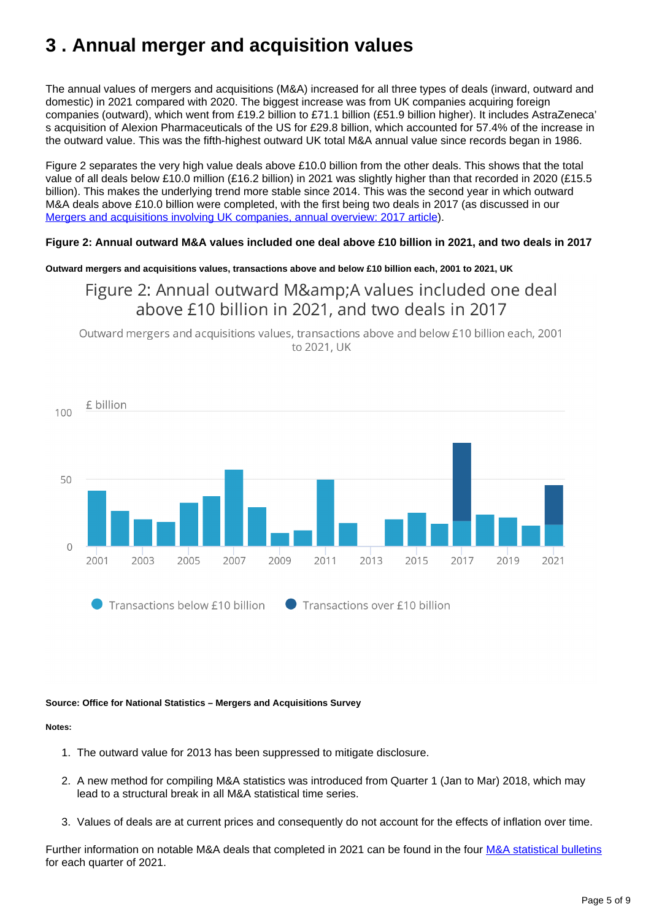## <span id="page-4-0"></span>**3 . Annual merger and acquisition values**

The annual values of mergers and acquisitions (M&A) increased for all three types of deals (inward, outward and domestic) in 2021 compared with 2020. The biggest increase was from UK companies acquiring foreign companies (outward), which went from £19.2 billion to £71.1 billion (£51.9 billion higher). It includes AstraZeneca' s acquisition of Alexion Pharmaceuticals of the US for £29.8 billion, which accounted for 57.4% of the increase in the outward value. This was the fifth-highest outward UK total M&A annual value since records began in 1986.

Figure 2 separates the very high value deals above £10.0 billion from the other deals. This shows that the total value of all deals below £10.0 million (£16.2 billion) in 2021 was slightly higher than that recorded in 2020 (£15.5 billion). This makes the underlying trend more stable since 2014. This was the second year in which outward M&A deals above £10.0 billion were completed, with the first being two deals in 2017 (as discussed in our [Mergers and acquisitions involving UK companies, annual overview: 2017 article](https://www.ons.gov.uk/businessindustryandtrade/changestobusiness/mergersandacquisitions/articles/ukmergersandacquisitionsactivityincontext/2017)).

#### **Figure 2: Annual outward M&A values included one deal above £10 billion in 2021, and two deals in 2017**

**Outward mergers and acquisitions values, transactions above and below £10 billion each, 2001 to 2021, UK**

### Figure 2: Annual outward M& A values included one deal above £10 billion in 2021, and two deals in 2017

Outward mergers and acquisitions values, transactions above and below £10 billion each, 2001 to 2021, UK



#### **Source: Office for National Statistics – Mergers and Acquisitions Survey**

#### **Notes:**

- 1. The outward value for 2013 has been suppressed to mitigate disclosure.
- 2. A new method for compiling M&A statistics was introduced from Quarter 1 (Jan to Mar) 2018, which may lead to a structural break in all M&A statistical time series.
- 3. Values of deals are at current prices and consequently do not account for the effects of inflation over time.

Further information on notable M&A deals that completed in 2021 can be found in the four [M&A statistical bulletins](https://www.ons.gov.uk/businessindustryandtrade/changestobusiness/mergersandacquisitions/bulletins/mergersandacquisitionsinvolvingukcompanies/previousReleases) for each quarter of 2021.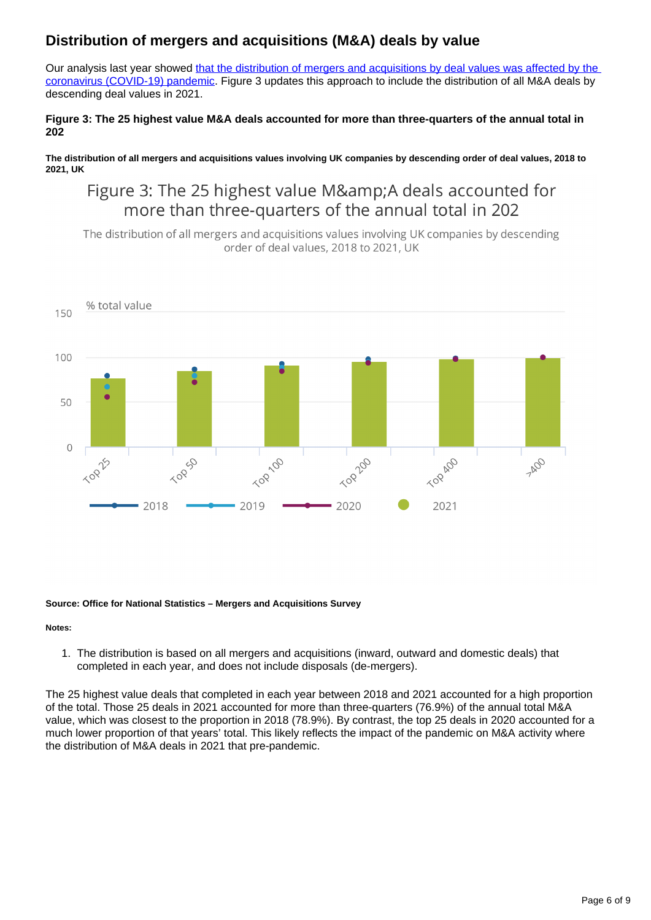### **Distribution of mergers and acquisitions (M&A) deals by value**

Our analysis last year showed that the distribution of mergers and acquisitions by deal values was affected by the [coronavirus \(COVID-19\) pandemic.](https://www.ons.gov.uk/businessindustryandtrade/changestobusiness/mergersandacquisitions/articles/ukmergersandacquisitionsactivityincontext/2020) Figure 3 updates this approach to include the distribution of all M&A deals by descending deal values in 2021.

### **Figure 3: The 25 highest value M&A deals accounted for more than three-quarters of the annual total in 202**

**The distribution of all mergers and acquisitions values involving UK companies by descending order of deal values, 2018 to 2021, UK**

### Figure 3: The 25 highest value M&A deals accounted for more than three-quarters of the annual total in 202

The distribution of all mergers and acquisitions values involving UK companies by descending order of deal values, 2018 to 2021, UK



#### **Source: Office for National Statistics – Mergers and Acquisitions Survey**

#### **Notes:**

1. The distribution is based on all mergers and acquisitions (inward, outward and domestic deals) that completed in each year, and does not include disposals (de-mergers).

The 25 highest value deals that completed in each year between 2018 and 2021 accounted for a high proportion of the total. Those 25 deals in 2021 accounted for more than three-quarters (76.9%) of the annual total M&A value, which was closest to the proportion in 2018 (78.9%). By contrast, the top 25 deals in 2020 accounted for a much lower proportion of that years' total. This likely reflects the impact of the pandemic on M&A activity where the distribution of M&A deals in 2021 that pre-pandemic.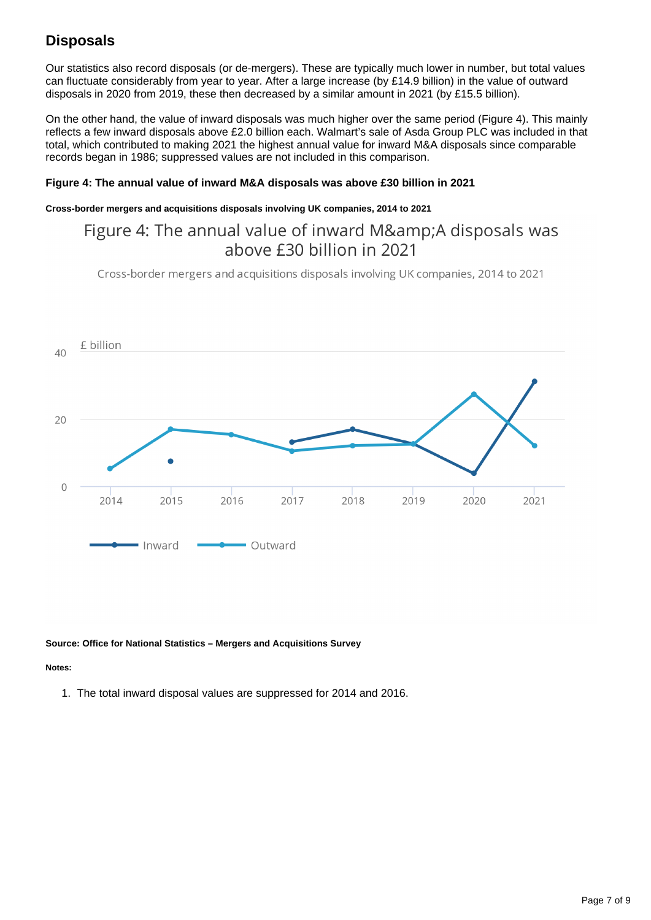### **Disposals**

Our statistics also record disposals (or de-mergers). These are typically much lower in number, but total values can fluctuate considerably from year to year. After a large increase (by £14.9 billion) in the value of outward disposals in 2020 from 2019, these then decreased by a similar amount in 2021 (by £15.5 billion).

On the other hand, the value of inward disposals was much higher over the same period (Figure 4). This mainly reflects a few inward disposals above £2.0 billion each. Walmart's sale of Asda Group PLC was included in that total, which contributed to making 2021 the highest annual value for inward M&A disposals since comparable records began in 1986; suppressed values are not included in this comparison.

#### **Figure 4: The annual value of inward M&A disposals was above £30 billion in 2021**

#### **Cross-border mergers and acquisitions disposals involving UK companies, 2014 to 2021**

### Figure 4: The annual value of inward M&A disposals was above £30 billion in 2021

Cross-border mergers and acquisitions disposals involving UK companies, 2014 to 2021



#### **Source: Office for National Statistics – Mergers and Acquisitions Survey**

#### **Notes:**

1. The total inward disposal values are suppressed for 2014 and 2016.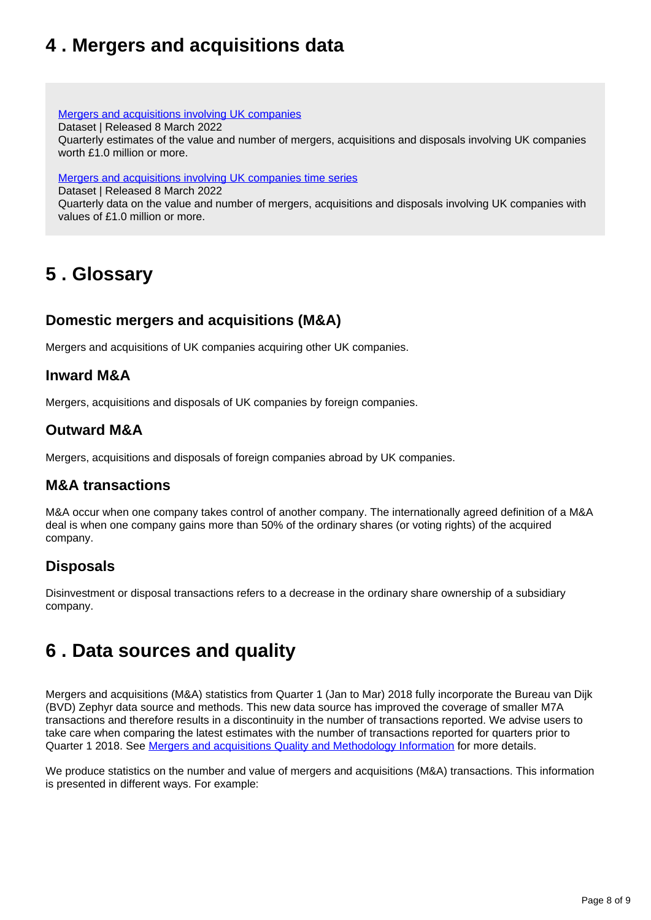## <span id="page-7-0"></span>**4 . Mergers and acquisitions data**

[Mergers and acquisitions involving UK companies](https://www.ons.gov.uk/businessindustryandtrade/changestobusiness/mergersandacquisitions/datasets/mergersandacquisitionsinvolvingukcompanies)

Dataset | Released 8 March 2022

Quarterly estimates of the value and number of mergers, acquisitions and disposals involving UK companies worth £1.0 million or more.

[Mergers and acquisitions involving UK companies time series](https://www.ons.gov.uk/businessindustryandtrade/changestobusiness/mergersandacquisitions/datasets/mergersandacquisitionsuk)

Dataset | Released 8 March 2022

Quarterly data on the value and number of mergers, acquisitions and disposals involving UK companies with values of £1.0 million or more.

## <span id="page-7-1"></span>**5 . Glossary**

### **Domestic mergers and acquisitions (M&A)**

Mergers and acquisitions of UK companies acquiring other UK companies.

### **Inward M&A**

Mergers, acquisitions and disposals of UK companies by foreign companies.

### **Outward M&A**

Mergers, acquisitions and disposals of foreign companies abroad by UK companies.

### **M&A transactions**

M&A occur when one company takes control of another company. The internationally agreed definition of a M&A deal is when one company gains more than 50% of the ordinary shares (or voting rights) of the acquired company.

### **Disposals**

Disinvestment or disposal transactions refers to a decrease in the ordinary share ownership of a subsidiary company.

## <span id="page-7-2"></span>**6 . Data sources and quality**

Mergers and acquisitions (M&A) statistics from Quarter 1 (Jan to Mar) 2018 fully incorporate the Bureau van Dijk (BVD) Zephyr data source and methods. This new data source has improved the coverage of smaller M7A transactions and therefore results in a discontinuity in the number of transactions reported. We advise users to take care when comparing the latest estimates with the number of transactions reported for quarters prior to Quarter 1 2018. See [Mergers and acquisitions Quality and Methodology Information](https://www.ons.gov.uk/businessindustryandtrade/changestobusiness/mergersandacquisitions/methodologies/mergersandacquisitionsmaqmi) for more details.

We produce statistics on the number and value of mergers and acquisitions (M&A) transactions. This information is presented in different ways. For example: